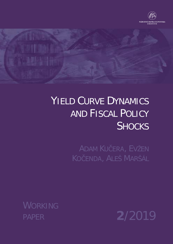

# YIELD CURVE DYNAMICS AND FISCAL POLICY **SHOCKS**

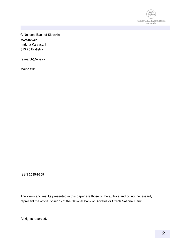

© National Bank of Slovakia www.nbs.sk Imricha Karvaša 1 813 25 Bratislva

research@nbs.sk

March 2019

ISSN 2585-9269

The views and results presented in this paper are those of the authors and do not necessarily represent the official opinions of the National Bank of Slovakia or Czech National Bank.

All rights reserved.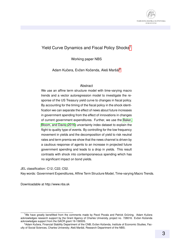

#### Yield Curve Dynamics and Fiscal Policy Shocks<sup>[1](#page-2-0)</sup>

Working paper NBS

Adam Kučera, Evžen Kočenda, Aleš Maršál<sup>[2](#page-2-1)</sup>

#### **Abstract**

We use an affine term structure model with time-varying macro trends and a vector autoregression model to investigate the response of the US Treasury yield curve to changes in fiscal policy. By accounting for the timing of the fiscal policy in the shock identification we can separate the effect of news about future increases in government spending from the effect of innovations in changes of current government expenditures. Further, we use the [Baker,](#page-28-0) [Bloom, and Davis](#page-28-0) [\(2016\)](#page-28-0) uncertainty index dataset to explain the flight to quality type of events. By controlling for the low frequency movement in yields and the decomposition of yield to risk neutral rates and term premia we show that the news channel is driven by a cautious response of agents to an increase in projected future government spending and leads to a drop in yields. This result contrasts with shock into contemporaneous spending which has no significant impact on bond yields.

JEL classification: C12; C22; C52.

Key words: Government Expenditures, Affine Term Structure Model, Time-varying Macro Trends.

Downloadable at http://www.nbs.sk

<span id="page-2-0"></span> $1$ We have greatly benefitted from the comments made by Pavol Povala and Patrick Grüning. Adam Kučera acknowledges research support by the Grant Agency of Charles University, project no. 728016. Evžen Kočenda acknowledges support from the GACR grant 19-15650S.

<span id="page-2-1"></span><sup>&</sup>lt;sup>2</sup> Adam Kučera, Financial Stability Department of the CNB; Evžen Kočenda, Institute of Economic Studies, Faculty of Social Sciences, Charles University; Aleš Maršál, Research Department of the NBS;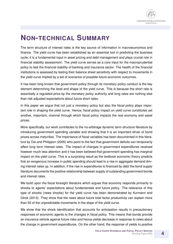### **NON-TECHNICAL SUMMARY**

The term structure of interest rates is the key source of information in macroeconomics and finance. The yield curve has been established as an essential tool in predicting the business cycle; it is a fundamental input in asset pricing and debt management and plays crucial role in financial stability assessment. The yield curve serves as a core input for the macroprudential policy to test the financial stability of banking and insurance sector. The health of the financial institutions is assessed by testing their balance sheet sensitivity with respect to movements in the yield curve implied by a set of scenarios of possible future economic outcomes.

It has been long known that government policy through its monetary policy conduct is the key element determining the level and shape of the yield curve. This is because the short rate is essentially a regulated price by the monetary policy authority and long rates are nothing else than risk adjusted expectations about future short rates.

In this paper we argue that not just a monetary policy but also the fiscal policy plays important role in shaping the yield curve. Hence, fiscal policy impact on yield curve constitutes yet another, important, channel through which fiscal policy impacts the real economy and asset prices.

More specifically, our work contributes to the no-arbitrage dynamic term structure literature by introducing government spending variable and showing that it is an important driver of bond prices across maturities. The importance of fiscal variables has been documented in this literature by Dai and Philippon (2005) who point to the fact that government deficits can temporarily affect long term interest rates. The impact of changes in government expenditures received however much less attention and it has been believed that government spending has marginal impact on the yield curve. This is a surprising result as the textbook economic theory predicts that an exogenous increase in public spending should lead to a rise in aggregate demand driving interest rates up. In addition, if the rise in expenditures is financed by debt the bond supply literature documents the positive relationship between supply of outstanding government bonds and interest rates.

We build upon the fiscal foresight literature which argues that economy responds primarily to shocks to agents' expectations about fundamentals and future policy. The relevance of this type of shocks (news shocks) for the yield curve has been demonstrated by Kurmann and Otrok (2013). They show that the news about future total factor productivity can explain more than 50 of the unpredictable movements in the slope of the yield curve.

We show that the shock identification that accounts for anticipation results in precautionary responses of economic agents to the changes in fiscal policy. This means that bonds provide an insurance vehicle against future risks and hence yields decrease in response to news about the change in government expenditures. On the other hand, the response of yields to positive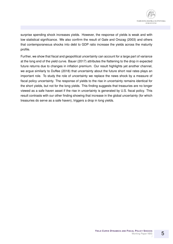

surprise spending shock increases yields. However, the response of yields is weak and with low statistical significance. We also confirm the result of Gale and Orszag (2003) and others that contemporaneous shocks into debt to GDP ratio increase the yields across the maturity profile.

Further, we show that fiscal and geopolitical uncertainty can account for a large part of variance at the long end of the yield curve. Bauer (2017) attributes the flattening to the drop in expected future returns due to changes in inflation premium. Our result highlights yet another channel, we argue similarly to Duffee (2018) that uncertainty about the future short real rates plays an important role. To study the role of uncertainty we replace the news shock by a measure of fiscal policy uncertainty. The response of yields to the rise in uncertainty remains identical for the short yields, but not for the long yields. This finding suggests that treasuries are no longer viewed as a safe haven asset if the rise in uncertainty is generated by U.S. fiscal policy. This result contrasts with our other finding showing that increase in the global uncertainty (for which treasuries do serve as a safe haven), triggers a drop in long yields.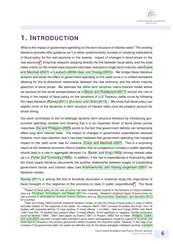

### **1. INTRODUCTION**

What is the impact of government spending on the term structure of interest rates? The existing literature provides little guidance as it is either predominantly focused on studying implications of fiscal policy for the real economy or the reverse - impact of changes in bond prices on the real economy<sup>[3](#page-5-0)</sup>. Empirical research studying directly the link between fiscal policy and the yield relies mainly on the simple least-squares estimates reduced to single bond maturity (see [Evans](#page-29-0) [and Marshall](#page-29-0) [\(2007\)](#page-29-0) or [Laubach](#page-31-0) [\(2009\)](#page-31-0) [Gale and Orszag](#page-30-0) [\(2003\)](#page-30-0)). We bridge these literature streams and study the effect of government spending on the yield curve in a unified framework allowing for the bi-directional relationship between the real economy and the whole maturity spectrum of bond prices. We estimate the affine term structure macro-finance model where we account for the small sample biases as in [Bauer and Rudebusch](#page-28-1) [\(2017\)](#page-28-1) and for the role of timing in the impact of fiscal policy on the dynamics of U.S Treasury yields curve by following the news literature [\(Ramey](#page-31-1) [\(2011\)](#page-31-1), [Kurmann and Otrok](#page-31-2) [\(2013\)](#page-31-2) ). We show that fiscal policy can explain much of the dynamics in term structure of interest rates once we properly account for shock timing.

Our work contributes to the no-arbitrage dynamic term structure literature by introducing government spending variable and showing that it is an important driver of bond prices across maturities. [Dai and Philippon](#page-29-1) [\(2005\)](#page-29-1) points to the fact that government deficits can temporarily affect long term interest rates. The impact of changes in government expenditures received however much less attention and it has been believed that government spending has marginal impact on the yield curve (see for instance, [Evans and Marshall](#page-29-0) [\(2007\)](#page-29-0). This is a surprising result as the textbook economic theory predicts that an exogenous increase in public spending should lead to a rise in aggregate demand (i.e. [Baxter and King](#page-28-2) [\(1993\)](#page-28-2)) driving interest rates up (i.e. [Fisher and Turnovsky](#page-30-1) [\(1992\)](#page-30-1)). In addition, if the rise in expenditures is financed by debt the bond supply literature documents the positive relationship between supply of outstanding government bonds and interest rates (see [Krishnamurthy and Vissing-Jorgensen](#page-30-2) [\(2007\)](#page-30-2) for literature review).

[Ramey](#page-31-1) [\(2011\)](#page-31-1) is among the first to forcefully document in empirical study the importance of fiscal foresight in the response of the economy to rises in public expenditures<sup>[4](#page-5-1)</sup>. The fiscal

<span id="page-5-0"></span><sup>&</sup>lt;sup>3</sup>Impact of fiscal policy for the real economy has been extensively covered in the literature on fiscal multipliers (see e.g. [Christiano, Eichenbaum, and Rebelo, 2011](#page-29-2) for a survey). Research studying impact of bond prices for real economy is dominated by financial frictions literature see e.g. [Brunnermeier, Eisenbach, and Sannikov, 2013](#page-29-3) for a survey)

<span id="page-5-1"></span><sup>4</sup>Gale and Orsag (2003) provide extensive literature review on how the timing of fiscal policy in case of deficit and debt matters for the response of the yields. For instance, Barth (1991) surveys 42 studies and finds: from 19 studies with projected deficits 13 have positive, 5 mixed effects, 1 no effect. Gale and Orsag (2003) redo Barth (1991) and find: 18 studies have positive effect, 6 mixed effects, 19 not significant or negative. Similar conclusion found by Mankiw (1999). Often cited papers by Evans (1987) or Plosser (1982) find no effect. [Ardagna, Caselli,](#page-28-3) [and Lane](#page-28-3) [\(2007\)](#page-28-3) use both a simple static estimation and a vector autoregression model for a panel of countries and show that an increase in the primary government deficit increases the long-term yields. However, in the case of an increase of the government debt, the yields are affected only for the above-averagely indebted countries. [Laubach](#page-31-0)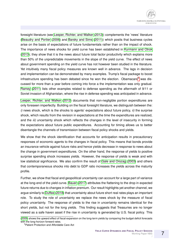

foresight literature (see [Leeper, Richter, and Walker](#page-31-3) [\(2012\)](#page-31-3)) complements the 'news' literature [\(Beaudry and Portier](#page-28-4) [\(2006\)](#page-28-4) and [Barsky and Sims](#page-28-5) [\(2011\)](#page-28-5)) which posits that business cycles arise on the basis of expectations of future fundamentals rather than on the impact of shock. The importance of news shocks for yield curve has been established in [Kurmann and Otrok](#page-31-2) [\(2013\)](#page-31-2); they show that it is the news about future total factor productivity which explains more than 50% of the unpredictable movements in the slope of the yield curve. The effect of news about government spending on the yield curve has not however been studied in the literature. Yet intuitively many fiscal policy measures are known well in advance. The lags in decision and implementation can be demonstrated by many examples. Trump's fiscal package to boost infrastructure spending has been debated since he won the election. Obamacare<sup>[5](#page-6-0)</sup> was discussed for more than a year before coming into force a the implementation was only gradual. [Ramey](#page-31-1) [\(2011\)](#page-31-1) lists other examples related to defense spending as the aftermath of 9/11 or Soviet invasion of Afghanistan, where the rise in defense spending was anticipated in advance.

[Leeper, Richter, and Walker](#page-31-3) [\(2012\)](#page-31-3) documents that non-negligible portion expenditures are only foreseen imperfectly. Building on the fiscal foresight literature, we distinguish between the: *i)* news shock, which is the shocks to agents' expectations about future policy, *ii)* the surprise shock, which results from the revision in expectations at the time the expenditures are realized, and the *iii)* uncertainty shock which reflects the changes in the level of insecurity in forming the expectations about future public expenditures. Accounting for timing allows us to better disentangle the channels of transmission between fiscal policy shocks and yields.

We show that the shock identification that accounts for anticipation results in precautionary responses of economic agents to the changes in fiscal policy. This means that bonds provide an insurance vehicle against future risks and hence yields decrease in response to news about the change in government expenditures. On the other hand, the response of yields to positive surprise spending shock increases yields. However, the response of yields is weak and with low statistical significance. We also confirm the result of [Gale and Orszag](#page-30-0) [\(2003\)](#page-30-0) and others that contemporaneous shocks into debt to GDP ratio increases the yields across the maturity profile.

Further, we show that fiscal and geopolitical uncertainty can account for a large part of variance at the long-end of the yield curve. [Bauer](#page-28-6) [\(2017\)](#page-28-6) attributes the flattening to the drop in expected future returns due to changes in inflation premium. Our result highlights yet another channel, we argue similarly to [Duffee](#page-29-4) [\(2018\)](#page-29-4) that uncertainty about future short real rates plays an important role. To study the role of uncertainty we replace the news shock by the measure of fiscal policy uncertainty. The response of yields to the rise in uncertainty remains identical for the short yields, but not for the long yields. This finding suggests that Treasuries are no longer viewed as a safe haven asset if the rise in uncertainty is generated by U.S. fiscal policy. This

[<sup>\(2009\)</sup>](#page-31-0) shows the upward effect of fiscal expansion on the long-term yields by comparing the budget deficit forecasts with the long-horizon forward rates.

<span id="page-6-0"></span><sup>5</sup>Patient Protection and Affordable Care Act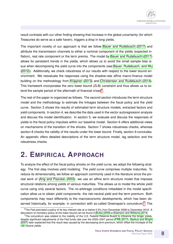result contrasts with our other finding showing that increase in the global uncertainty (for which Treasuries do serve as a safe haven), triggers a drop in long yields.

The important novelty of our approach is that we follow [Bauer and Rudebusch](#page-28-1) [\(2017\)](#page-28-1) and attribute the transmission channels to either a nominal component of the yields (expected inflation), real rate component or the term premia. The model by [Bauer and Rudebusch](#page-28-1) [\(2017\)](#page-28-1) allows for persistent trends in the yields, which allows us to avoid the small sample bias issue when decomposing the yield curve into the components (see [Bauer, Rudebusch, and Wu](#page-28-7) [\(2012\)](#page-28-7)). Additionally, we check robustness of our results with respect to the lower bound environment. We reevaluate the responses using the shadow-rate affine macro-finance model building on the methodology from [Krippner](#page-30-3) [\(2013\)](#page-30-3) and [Christensen and Rudebusch](#page-29-5) [\(2014\)](#page-29-5). This framework incorporates the zero lower bound (ZLB) constraint and thus allows us to extend the sample period of the aftermath of financial crises $6$ .

The rest of the paper is organized as follows. The second section introduces the term structure model and the methodology to estimate the linkages between the fiscal policy and the yield curve. Section 3 shows the results of estimated term structure models, extracted factors and yield components. In section 4, we describe the data used in the vector autoregression analysis and discuss the model identification. In section 5, we evaluate and discuss the responses of yields to the fiscal policy impulses within our baseline model. Section 6 offers additional views on mechanisms of the transition of the shocks. Section 7 shows robustness checks, whereas section 8 checks the validity of the results under the lower bound. Finally, section 9 concludes. An appendix offers detailed descriptions of the term structure model, lag selection and the robustness checks.

### **2. EMPIRICAL APPROACH**

To analyze the effect of the fiscal policy shocks on the yield curve, we adopt the following strategy. The first step involves yield modeling. The yield curve comprises multiple maturities. To reduce its dimensionality, we follow an approach commonly used in the literature since the pivotal work of [\(Ang and Piazzesi, 2003\)](#page-28-8): we use an affine term structure model that imposes structural relations among yields of various maturities. This allows us to model the whole yield curve using only several factors. The no-arbitrage conditions imbedded in the model specification allow us to obtain yield components: the risk-neutral yield and the term premium. Both components may react differently to the macroeconomic developments, which has been ob-served historically, for example, in connection with so-called Greenspan's conundrum.<sup>[7](#page-7-1)</sup> The

<span id="page-7-0"></span> $6$ The Fed exercised a policy of its key interest rate at or below 0.5% from December 2008 to December 2016. A discussion of monetary policy at the lower bound can be found in [Buiter, 2009](#page-29-6) or [Swanson and Williams, 2014.](#page-31-4)

<span id="page-7-1"></span><sup>&</sup>lt;sup>7</sup>The conundrum was related to the inability of the U.S. Federal Reserve Board to influence the longer yields, despite significant adjustments of the Fed funds rate over the 2005–2007 period [\(FRB, 2017\)](#page-30-4). [Backus and Wright](#page-28-9) [\(2007\)](#page-28-9) later explained that this result was caused by the decreasing term premium, which offset the increase of the risk-neutral yields.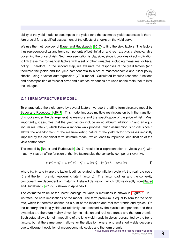ability of the yield model to decompose the yields (and the estimated yield responses) is therefore crucial for a qualified assessment of the effects of shocks on the yield curve.

We use the methodology of [Bauer and Rudebusch](#page-28-1) [\(2017\)](#page-28-1) to find the yield factors. The factors thus represent cyclical and trend components of both inflation and real rate plus a latent variable governing the price of risk. Such representation is plausible, since it provides direct motivation to link these macro-financial factors with a set of other variables, including measures for fiscal policy. Therefore, in the second step, we evaluate the responses of the yield factors (and therefore the yields and the yield components) to a set of macroeconomic and fiscal policy shocks using a vector autoregression (VAR) model. Calculated impulse response functions and decomposition of forecast error and historical variances are used as the main tool to infer the linkages.

#### **2.1TERM STRUCTURE MODEL**

To characterize the yield curve by several factors, we use the affine term-structure model by [Bauer and Rudebusch](#page-28-1) [\(2017\)](#page-28-1). This model imposes multiple restrictions on both the transition of shocks under the data-generating measure and the specification of the price of risk. Most importantly, it assumes that the yield factors include an equilibrium inflation  $\pi^*$  and an equilibrium real rate  $r^*$ , which follow a random walk process. Such assumption is crucial since it allows the abandonment of the mean-reverting nature of the yield factor processes implicitly imposed by the canonical term structure model, which leads to imprecise identification of the yield components.

The model by [Bauer and Rudebusch](#page-28-1) [\(2017\)](#page-28-1) results in a representation of yields  $y_t(\tau)$  with maturity  $\tau$  as an affine function of the five factors plus the convexity component  $conv(\tau)$ :

<span id="page-8-0"></span>
$$
y_{t}(\tau) = \pi_{t}^{*} + b_{\pi}(\tau) \pi_{t}^{c} + r_{t}^{*} + b_{r}(\tau) r_{t}^{c} + b_{f}(\tau) f_{t} + conv(\tau)
$$
 (1)

where  $b_{\pi},$   $b_{r}$  and  $b_{f}$  are the factor loadings related to the inflation cycle  $\pi^c_t$ , the real rate cycle  $r_t^c$  and the term premium-governing latent factor  $f_t$ . The factor loadings and the convexity component are dependent on maturity. Detailed derivation, which follows directly from [Bauer](#page-28-1) [and Rudebusch](#page-28-1) [\(2017\)](#page-28-1), is shown in [Appendix I.](#page-25-0)

The estimated value of the factor loadings for various maturities is shown in [Figure 1.](#page-9-0) It illustrates the core implications of the model. The term premium is equal to zero for the short rate, which is therefore defined as a sum of the inflation and real rate trends and cycles. On the contrary, the long yields are relatively less affected by the cyclical components and their dynamics are therefore mainly driven by the inflation and real rate trends and the term premia. Such setup allows for joint modeling of the long-yield trends in yields represented by the trend factors, but at the same time it allows for the situation where long and short yields decouple due to divergent evolution of macroeconomic cycles and the term premia.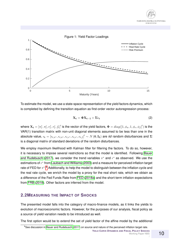<span id="page-9-0"></span>

To estimate the model, we use a state-space representation of the yield factors dynamics, which is completed by defining the transition equation as first-order vector autoregression process:

$$
X_t = \Phi X_{t-1} + \Sigma \epsilon_t \tag{2}
$$

where  ${\bf X_t}=[\pi^*_t,\pi^c_t,r^*_t,r^c_t,f_t]^\prime$  is the vector of the yield factors,  $\boldsymbol{\Phi}=diag([1,\phi_\pi,1,\phi_r,\phi_f]^\prime)$  is the VAR(1) transition matrix with non-unit diagonal elements assumed to be less than one in the absolute value,  $\epsilon_{\bf t}=[\epsilon_{t,\pi^*},\epsilon_{t,\pi^c},\epsilon_{t,r^*},\epsilon_{t,r^c},\epsilon_{t,f}]'\sim N\left({\bf 0},{\bf I_5}\right)$  are *iid* random disturbances and  ${\bf \Sigma}$ is a diagonal matrix of standard deviations of the random disturbances.

We employ maximum likelihood with Kalman filter for filtering the factors. To do so, however, it is necessary to impose several restrictions so that the model is identified. Following [Bauer](#page-28-1) [and Rudebusch](#page-28-1) [\(2017\)](#page-28-1), we consider the trend variables  $\pi^*$  and  $r^*$  as observed. We use the estimations of  $r^*$  from [Laubach and Williams](#page-31-5) [\(2003\)](#page-31-5) and a measure for perceived inflation target rate of FED for  $\pi^*$ .<sup>[8](#page-9-1)</sup> Additionally, to help the model to distinguish between the inflation cycle and the real rate cycle, we enrich the model by a proxy for the real short rate, which we obtain as a difference of the Fed Funds Rate from [FED](#page-30-5) [\(2018a\)](#page-30-5) and the short-term inflation expectations from [FRB](#page-30-6) [\(2018\)](#page-30-6). Other factors are inferred from the model.

#### **2.2MEASURING THE IMPACT OF SHOCKS**

The presented model falls into the category of macro-finance models, as it links the yields to evolution of macroeconomic factors. However, for the purposes of our analysis, fiscal policy as a source of yield variation needs to be introduced as well.

The first option would be to extend the set of yield factor of the affine model by the additional

<span id="page-9-1"></span><sup>8</sup>See discussion in [Bauer and Rudebusch](#page-28-1) [\(2017\)](#page-28-1) on source and nature of the perceived inflation target rate.

**YIELD CURVE DYNAMICS AND FISCAL POLICY SHOCKS**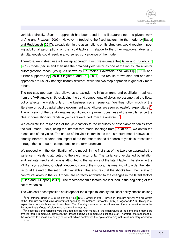variables directly. Such an approach has been used in the literature since the pivotal work of [Ang and Piazzesi](#page-28-8) [\(2003\)](#page-28-8). However, introducing the fiscal factors into the model by [Bauer](#page-28-1) [and Rudebusch](#page-28-1) [\(2017\)](#page-28-1), already rich in the assumptions on its structure, would require imposing additional assumptions on the fiscal factors in relation to the other macro-variables and simultaneously could result in a worsened convergence of the model.

Therefore, we instead use a two-step approach. First, we estimate the [Bauer and Rudebusch](#page-28-1) [\(2017\)](#page-28-1) model *per se* and then use the obtained yield factor as one of the inputs into a vector autoregression model (VAR). As shown by [De Pooter, Ravazzolo, and Van Dijk](#page-29-7) [\(2010\)](#page-29-7) and further supported by [Joslin, Singleton, and Zhu](#page-30-7) [\(2011\)](#page-30-7), the results of two-step and one-step approach are usually not significantly different, while the two-step approach is generally more robust.

The two-step approach also allows us to exclude the inflation trend and equilibrium real rate from the VAR analysis. By excluding the trend components of yields we assume that the fiscal policy affects the yields only on the business cycle frequency. We thus follow much of the literature on public capital where government expenditures are seen as wasteful expenditures $9$ . The omission of the trend variables significantly improves robustness of the results, since the clearly non-stationary trends in yields are excluded from the analysis.[10](#page-10-1)

We calculate the responses of the yield factors to the impulses of observable variables from the VAR model. Next, using the interest rate model loadings from [Equation 1,](#page-8-0) we obtain the responses of the yields. The nature of the yield factors in the term structure model allows us to directly interpret, whether the impact of the the macro-financial shocks to yields is transmitted through the risk-neutral components or the term premium.

We proceed with the identification of the model. In the first step of the two-step approach, the variance in yields is attributed to the yield factor only. The variance unexplained by inflation and real rate trend and cycle is attributed to the variance of the latent factor. Therefore, in the VAR analysis utilizing Cholseki decomposition of the shocks, it is meaningful to order the latent factor at the end of the set of VAR variables. That ensures that the shocks from the fiscal and control variables in the VAR model are correctly attributed to the changes in the latent factors (Kilian and Lütkepohl, 2017). The macroeconomic factors are included in the beginning of the set of variables.

The Choleski decomposition could appear too simple to identify the fiscal policy shocks as long

<span id="page-10-0"></span><sup>&</sup>lt;sup>9</sup>For instance, Barro (1990), [Baxter and King](#page-28-2) [\(1993\)](#page-28-2), Gramlich (1994) provides literature survey. We are aware of the literature on productive government spending, for instance Turnovsky (1997) or Agenor (2013). This type of expenditure consists however of less than 15% of total government expenditures and there is no evidence in the literature that it affects inflation trend and real interest rate

<span id="page-10-1"></span> $10$ In case the trend variables were included into the VAR model, all the eigenvalues of the companion matrix are smaller than 1 in modulus. However, the largest eigenvalue in modulus exceeds 0.99. Therefore, the responses of the variables to shocks are nearly persistent, which contradicts the cycle-smoothing nature of monetary and fiscal policies.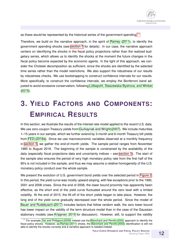as these would be represented by the historical series of the government spending.<sup>[11](#page-11-0)</sup>

Therefore, we build on the narrative approach, in the spirit of [Ramey](#page-31-1) [\(2011\)](#page-31-1), to identify the government spending shocks (see [section 5](#page-16-0) for details). In our case, the narrative approach centers on identifying the shocks in the fiscal policy projections rather than the realized budgetary series, which allows us to identify the shocks at the moment the future changes in the fiscal policy become expected by the economic agents. In the light of this approach, we consider the Choleski decomposition as sufficient, since the shocks are identified by the selected time series rather than the model restrictions. We also support the robustness of our results by robustness checks. We use bootstrapping to construct confidence intervals for our results. More specifically, to construct the confidence intervals, we employ the Bonferroni band adjusted to avoid excessive conservatism, following Lütkepohl, Staszewska-Bystrova, and Winker [\(2015\)](#page-31-6).

## **3. YIELD FACTORS AND COMPONENTS: EMPIRICAL RESULTS**

In this section, we illustrate the results of the interest rate model applied to the recent U.S. data. We use zero-coupon Treasury yields from [Gurkaynak and Wright](#page-30-9) [\(2007\)](#page-30-9). We include maturities 1–15 years in our sample, which we further extend by 3-month and 6-month Treasury bill yields from [FED](#page-30-5) [\(2018a\)](#page-30-5). Since we use macroeconomic variables observed at a monthly frequency in [section 5,](#page-16-0) we gather the end-of-month yields. The sample period ranges from November 1985 to August 2018. The beginning of the sample is constrained by the availability of the data (especially fiscal projections data and uncertainty indices – see [section 5\)](#page-16-0). The start of the sample also ensures the period of very high monetary policy rate from the first half of the 80's is not included in the sample, and thus we may assume a relative homogeneity of the U.S. monetary policy conduct over the whole sample.

We present the evolution of U.S. government bond yields over the selected period in [Figure 2.](#page-12-0) In this period, the yield curve was mostly upward-sloping, with few exceptions prior to the 1990, 2001 and 2008 crises. Since the end of 2008, the lower bound proximity has apparently been effective, as the short end of the yield curve fluctuated around the zero level with a limited volatility. At the end of 2015, the lift-off of the short yields began to take place. However, the long end of the yield curve gradually decreased over the whole period. Since the model of [Bauer and Rudebusch](#page-28-1) [\(2017\)](#page-28-1) includes factors that follow random walk, the zero lower bound has lower impact on the validity of the term structure model than in the case of the Gaussian stationary models (see [Krippner, 2015](#page-30-10) for discussion). However, still, to support the validity

<span id="page-11-0"></span><sup>11</sup> For example, [Dai and Philippon](#page-29-1) [\(2005\)](#page-29-1) instead use the [Blanchard and Perotti](#page-29-8) [\(2002\)](#page-29-8) approach to identify the fiscal policy shocks. However, as [Ramey](#page-31-1) [\(2011\)](#page-31-1) shows, the [Blanchard and Perotti](#page-29-8) [\(2002\)](#page-29-8) identification is still not able to identify the shocks correctly and a narrative approach is needed instead.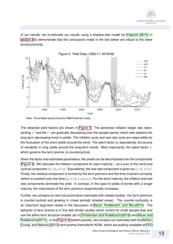of our results, we re-estimate our results using a shadow-rate model by [Krippner](#page-30-3) [\(2013\)](#page-30-3) in [section 8](#page-23-0) to demonstrate that the conclusions made in the text below are robust to the lower bound proximity.

<span id="page-12-0"></span>

Note: The shaded areas show the NBER-defined crises.

The obtained yield factors are shown in [Figure 3.](#page-13-0) The perceived inflation target rate representing  $\pi^*$  and the  $r^*$  are gradually decreasing over the sample period, which well explains the long-term decreasing trend in yields. The inflation cycle and real rate cycle are responsible for the fluctuation of the short yields around the trend. The latent factor is, equivalently, the source of variability in long yields around the long-term trends. Most importantly, the latent factor  $f$ , which governs the term premia, is countercyclical.

Given the factor and estimated parameters, the yields can be decomposed into the components [\(Figure 4\)](#page-14-0). We calculate the inflation component for each maturity  $\tau$  as a sum of the trend and cyclical component  $\pi^*_t+b_\pi\left(\tau\right)\pi^c_t$ . Equivalently, the real rate component is given as  $r^*_t+b_r\left(\tau\right)r^c_t$ . Finally, the residual component is formed by the term premium and the time-invariant convexity (which is constant over the time)  $b_f(\tau) f_t + conv(\tau)$ . For the short maturity, the inflation and real rate components dominate the yield. In contrast, in the case of yields of bonds with a longer maturity, the importance of the term premium proportionally increases.

Further, we compare our term structure factor estimates with related studies. Our term premium is counter-cyclical and growing in crises periods (shaded areas). The counter-cyclicality is an important argument raised in the discussion of [Bauer, Rudebusch, and Wu](#page-28-10) [\(2014\)](#page-28-10). The behavior of term premia is in line with similar studies which control for small sample bias and use the affine term structure models (as in [Christensen and Rudebusch](#page-29-9) [\(2016\)](#page-29-9) and [Bauer and](#page-28-1) [Rudebusch](#page-28-1) [\(2017\)](#page-28-1)). In the [Figure 4](#page-14-0) (bottom panels), we compare our estimates with the [Adrian,](#page-28-11) [Crump, and Moench](#page-28-11) [\(2013\)](#page-28-11) term premia (henceforth ACM), which are publicly available at [FED](#page-30-11)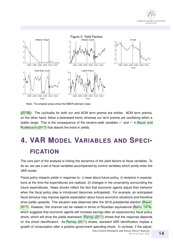<span id="page-13-0"></span>



Note: The shaded areas show the NBER-defined crises.

[\(2018b\)](#page-30-11). The cyclicality for both our and ACM term premia are similar. ACM term premia, on the other hand, follow a downward trend, whereas our term premia are oscillating within a stable range. This is the consequence of the random-walk variables  $\pi^*$  and  $r^*$  in [Bauer and](#page-28-1) [Rudebusch](#page-28-1) [\(2017\)](#page-28-1) that absorb the trend in yields.

# **4. VAR MODEL VARIABLES AND SPECI-FICATION**

The core part of the analysis is linking the dynamics of the yield factors to fiscal variables. To do so, we use a set of fiscal variables accompanied by control variables which jointly enter the VAR model.

Fiscal policy impacts yields in response to: *i)* news about future policy, *ii)* revisions in expectations at the time the expenditures are realized, *iii)* changes in the uncertainty surrounding the future expenditures. News shocks reflect the fact that economic agents adjust their behavior when the fiscal policy step is introduced (becomes anticipated). For example, an anticipated fiscal stimulus may improve agents expectation about future economic situations and therefore drive yields upwards. This situation was observed after the 2016 presidential election [\(Bauer,](#page-28-6) [2017\)](#page-28-6). However, this channel can be viewed in terms of Ricardian equivalence [\(Barro, 1974\)](#page-28-12), which suggests that economic agents will increase savings after an expansionary fiscal policy shock, which will drive the yields downward. [Ramey](#page-31-1) [\(2011\)](#page-31-1) shows that the response depends on the shock identification. As [Ramey](#page-31-1) [\(2011\)](#page-31-1) shows, standard VAR identification implies a growth of consumption after a positive government spending shock. In contrast, if the adjust-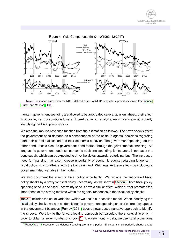

<span id="page-14-0"></span>

Note: The shaded areas show the NBER-defined crises. ACM TP denote term premia estimated from [Adrian,](#page-28-11) [Crump, and Moench](#page-28-11) [\(2013\)](#page-28-11).

ments in government spending are allowed to be anticipated several quarters ahead, their effect is opposite, i.e. consumption lowers. Therefore, in our analysis, we similarly aim at properly identifying the fiscal policy shocks.

We read the impulse response function from the estimation as follows: The news shocks affect the government bond demand as a consequence of the shifts in agents' decisions regarding both their portfolio allocation and their economic behavior. The government spending, on the other hand, affects also the government bond market through the governmental financing. As long as the government needs to finance the additional spending, for instance, it increases the bond supply, which can be expected to drive the yields upwards, ceteris paribus. The increased need for financing may also increase uncertainty of economic agents regarding longer-term fiscal policy, which further affects the bond demand. We measure these effects by including a government debt variable in the model.

We also document the effect of fiscal policy uncertainty. We replace the anticipated fiscal policy shocks by a proxy for fiscal policy uncertainty. As we show in [section 6,](#page-20-0) both fiscal policy spending shocks and fiscal uncertainty shocks have a similar effect, which further promotes the importance of the saving motives within the agents' responses to the fiscal policy shocks.

[Table 1](#page-15-0) includes the set of variables, which we use in our baseline model. When identifying the fiscal policy shocks, we aim at identifying the government spending shocks before they appear in the government balances. [Ramey](#page-31-1) [\(2011\)](#page-31-1) uses a news-based narrative approach to identify the shocks. We stick to the forward-looking approach but calculate the shocks differently in order to obtain a larger number of shocks.<sup>[12](#page-14-1)</sup> To obtain monthly data, we use fiscal projections

<span id="page-14-1"></span><sup>&</sup>lt;sup>12</sup> [Ramey](#page-31-1) [\(2011\)](#page-31-1) focuses on the defense spending over a long period. Since our sample period is shorter and at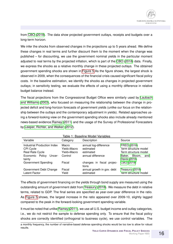from [CBO](#page-29-10) [\(2018\)](#page-29-10). The data show projected government outlays, receipts and budgets over a long-term horizon.

We infer the shocks from observed changes in the projections up to 5 years ahead. We define these changes in real terms and further discount them to the moment when the change was published – for discounting, we use the government nominal yields in the particular moment adjusted to real terms by the projected inflation, which is part of the [CBO](#page-29-10) [\(2018\)](#page-29-10) data. Finally, we express the shocks as a relative monthly change in these projected outlays. The obtained government spending shocks are shown in [Figure 5](#page-17-0) As the figure shows, the largest shock is observed in 2009, when the consequences of the financial crisis caused significant fiscal policy costs. In the baseline estimation, we identify the shocks as changes in projected government outlays; in sensitivity testing, we evaluate the effects of using a monthly difference in relative budget balance instead.

The fiscal projections from the Congressional Budget Office were similarly used by [Laubach](#page-31-5) [and Williams](#page-31-5) [\(2003\)](#page-31-5), who focused on measuring the relationship between the change in projected deficit and long-horizon forecasts of government yields (unlike our focus on the relationship between the outlays and the contemporary adjustment in yields). Related approaches using a forward-looking view on the government spending shocks also include already mentioned news-based evidence [Ramey](#page-31-1) [\(2011\)](#page-31-1) and the usage of the Survey of Professional Forecasters by [Leeper, Richter, and Walker](#page-31-3) [\(2012\)](#page-31-3).

| Variable                                                                                                  | Category                                       | Description                                                          | Source                                                                                              |
|-----------------------------------------------------------------------------------------------------------|------------------------------------------------|----------------------------------------------------------------------|-----------------------------------------------------------------------------------------------------|
| Industrial Production Index<br><b>CPI Cycle</b><br>Real Rate Cycle<br>Economic Policy<br>Uncer-<br>tainty | Macro<br>Yield+Macro<br>Yield+Macro<br>Control | annual log-difference<br>estimated<br>estimated<br>annual difference | FRED (2018)<br>Term structure model<br>Term structure model<br>Baker, Bloom,<br>and<br>Davis (2016) |
| Government Spending                                                                                       | Fiscal                                         | changes in fiscal<br>projec-<br>tions                                | CBO (2018)                                                                                          |
| Government Debt Change<br>Latent Factor                                                                   | Fiscal<br>Yield                                | annual growth in gov. debt<br>estimated                              | Treasury (2018)<br>Term structure model                                                             |

<span id="page-15-0"></span>

The effects of government financing on the yields through bond supply are measured using the outstanding amount of government debt from [Treasury](#page-31-7) [\(2018\)](#page-31-7). We measure the debt in relative terms, related to GDP. The final series are specified as year-over-year difference in the ratio. As [Figure 5](#page-17-0) shows, the largest increase in the ratio appeared over 2009-10, slightly lagged compared to the peak in the forward-looking government spending variable.

It must be noted that unlike [Ramey](#page-31-1) [\(2011\)](#page-31-1), we use all U.S. budget income and outlay categories, i.e., we do not restrict the sample to defense spending only. To ensure that the fiscal policy shocks are correctly identified (orthogonal to business cycle), we use control variables. The

a monthly frequency, the number of narrative-based defense spending shocks would be too low to allow for robust results.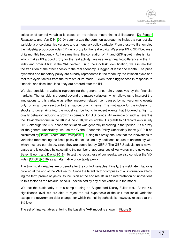

selection of control variables is based on the related macro-financial literature. [De Pooter,](#page-29-7) [Ravazzolo, and Van Dijk](#page-29-7) [\(2010\)](#page-29-7) summarizes the common approach to include a real-activity variable, a price-dynamics variable and a monetary policy variable. From these we first employ the industrial production index (IPI) as a proxy for the real activity. We prefer IPI to GDP because of its monthly frequency. At the same time, the correlation of IPI and GDP growth rates is high, which makes IPI a good proxy for the real activity. We use an annual log-difference in the IPI index and order it first in the VAR vector: using the Choleski identification, we assume that the transition of the other shocks to the real economy is lagged at least one month. The price dynamics and monetary policy are already represented in the model by the inflation cycle and real rate cycle factors from the term structure model. Given their sluggishness in response to financial and fiscal impulses, they are ordered after the IPI.

We also consider a variable representing the general uncertainty perceived by the financial markets. The variable is ordered beyond the macro variables, which allows us to interpret the innovations to this variable as either macro-unrelated (i.e., caused by non-economic events only) or as an over-reaction to the macroeconomic news. The motivation for the inclusion of shocks to uncertainty into the model can be found in recent events that triggered a flight to quality behavior, inducing a growth in demand for U.S. bonds. An example of such an event is the Brexit referendum in the UK in June 2016, which led the U.S. yields to hit record lows in July 2016, although the U.S. economic situation was generally improving in that period. As a proxy for the general uncertainty, we use the Global Economic Policy Uncertainty Index (GEPU) as calculated by [Baker, Bloom, and Davis](#page-28-0) [\(2016\)](#page-28-0). Using this proxy ensures that the innovations to variables representing the fiscal policy do not include any additional source of uncertainty with which they are correlated, since they are controlled by GEPU. The GEPU calculation is newsbased and is obtained by calculating the number of appearances of key words in the news (see [Baker, Bloom, and Davis, 2016\)](#page-28-0). To test the robustness of our results, we also consider the VIX index [\(CBOE, 2018\)](#page-29-11) as an alternative uncertainty proxy.

The two fiscal variables are ordered after the control variables. Finally, the yield latent factor is ordered at the end of the VAR vector. Since the latent factor comprises of all information affecting the term premia of yields, its inclusion at the end results in an interpretation of innovations to this factor as the residual shocks unexplained by any other variable in the model.

We test the stationarity of this sample using an Augmented Dickey-Fuller test. At the 5% significance level, we are able to reject the null hypothesis of the unit root for all variables except the government debt change, for which the null hypothesis is, however, rejected at the 1% level.

<span id="page-16-0"></span>The set of final variables entering the baseline VAR model is shown in [Figure 5.](#page-17-0)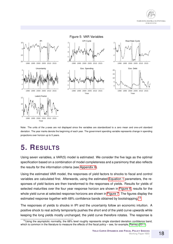<span id="page-17-0"></span>



Note: The units of the y-axes are not displayed since the variables are standardized to a zero mean and one-unit standard deviation. The year marks denote the beginning of each year. The government spending variable represents change in spending projections over horizon up to 5 years.

### **5. RESULTS**

Using seven variables, a VAR(5) model is estimated. We consider the five lags as the optimal specification based on a combination of model completeness and a parsimony that also reflects the results for the information criteria (see [Appendix II\)](#page-33-0).

Using the estimated VAR model, the responses of yield factors to shocks to fiscal and control variables are calculated first. Afterwards, using the estimated [Equation 1](#page-8-0) parameters, the responses of yield factors are then transformed to the responses of yields. Results for yields of selected maturities over the four year response horizon are shown in [Figure 6,](#page-18-0) results for the whole yield curve at selected response horizons are shown in [Figure 7.](#page-19-0) The figures display the estimated response together with 68% confidence bands obtained by bootstrapping.<sup>[13](#page-17-1)</sup>

The responses of yields to shocks in IPI and the uncertainty follow an economic intuition. A positive shock to real activity temporarily pushes the short end of the yield curve upwards while keeping the long yields mostly unchanged, the yield curve therefore rotates. The response is

<span id="page-17-1"></span> $13$ Using the asymptotic normality, the 68% level roughly represents single standard deviation confidence band, which is common in the literature to measure the effects of the fiscal policy – see, for example, [Ramey](#page-31-1) [\(2011\)](#page-31-1).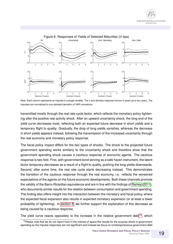<span id="page-18-0"></span>

Note: Each column represents an impulse in a single variable. The x-axis denotes response horizon in years up to four years. The impulses are normalized to one standard deviation of VAR innovations.

transmitted mostly through the real rate cycle factor, which reflects the monetary policy tightening after the positive real activity shock. After an upward uncertainty shock, the long end of the yield curve decreases most, reflecting both an expected future decrease in short yields and a temporary flight to quality. Gradually, the drop of long yields vanishes, whereas the decrease in short yields appears instead, following the transmission of the increased uncertainty through the real economy and monetary policy response.

The fiscal policy impact differs for the two types of shocks. The shock to the projected future government spending works similarly to the uncertainty shock and therefore show that the government spending shock causes a cautious response of economic agents. The cautious response is two-fold. First, with government bond serving as a safe haven instrument, the latent factor temporary decreases as a result of a flight to quality, pushing the long yields downwards. Second, after some time, the real rate cycle starts decreasing instead. This demonstrates the transition of the cautious response through the real economy, i.e. reflects the worsened expectations of the agents on the future economic developments. Both these channels promote the validity of the Barro-Ricardian equivalence and are in line with the findings of [Ramey](#page-31-1) [\(2011\)](#page-31-1), who documents similar results for the relation between consumption and government spending. The finding also offers insight into the interaction between the monetary and fiscal policy, where the expected fiscal expansion also results in expected monetary expansion (or at least a lower probability of tightening). In [section 6,](#page-20-0) we further support the explanation of this decrease as being caused by a cautious response.

The yield curve reacts oppositely to the increase in the relative government debt<sup>[14](#page-18-1)</sup>, which

<span id="page-18-1"></span> $14$  Please note that we do not report here in the interest of space the results for the surprise shock in government spending as the impulse responses are not significant and instead we focus on contemporaneous government debt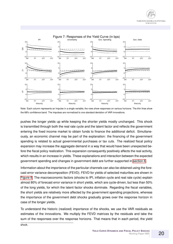

<span id="page-19-0"></span>

Note: Each column represents an impulse in a single variable; the rows show responses on various horizons. The thin lines show the 68% confidence band. The impulses are normalized to one standard deviation of VAR innovations.

pushes the longer yields up while keeping the shorter yields mostly unchanged. This shock is transmitted through both the real rate cycle and the latent factor and reflects the government entering the fixed income market to obtain funds to finance the additional deficit. Simultaneously, an economic channel may be part of the explanation: the financing of the government spending is related to actual governmental purchases or tax cuts. The realized fiscal policy expansion may increase the aggregate demand in a way that would have been unexpected before the fiscal policy realization. This expansion consequently positively affects the real activity, which results in an increase in yields. These explanations and interaction between the expected government spending and changes in government debt are further supported in [section 6.](#page-20-0)

Information about the importance of the particular channels can also be obtained using the forecast error variance decomposition (FEVD). FEVD for yields of selected maturities are shown in [Figure 8.](#page-20-1) The macroeconomic factors (shocks to IPI, inflation cycle and real rate cycle) explain almost 80% of forecast error variance in short yields, which are cycle-driven, but less than 50% of the long yields, for which the latent factor shocks dominate. Regarding the fiscal variables, the short yields are relatively more affected by the government spending projections, whereas the importance of the government debt shocks gradually grows over the response horizon in case of the longer yields.

To understand the historic (realized) importance of the shocks, we use the VAR residuals as estimates of the innovations. We multiply the FEVD matrices by the residuals and take the sum of the responses over the response horizons. That means that in each period, the yield

shock.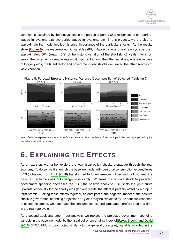

variation is explained by the innovations in the particular period *plus* responses to one-periodlagged innovations *plus* two-period-lagged innovations, etc. In this process, we are able to approximate the model-implied historical importance of the particular shocks. As the results show [\(Figure 8\)](#page-20-1), the macroeconomic variables (IPI, inflation cycle and real rate cycle) explain approximately 50% (resp. 40%) of the historic variation of the short (long) yields. For short yields, the uncertainty variable was most important among the other variables, whereas in case of longer yields, the latent factor and government debt shocks dominated the other sources of yield variation.



<span id="page-20-1"></span>Figure 8: Forecast Error and Historical Variance Decomposition of Selected Yields (in %)

Note: Each plot represents a share of the forecast error or historic variance of yield with particular maturity explained by the innovations to individual factors.

#### <span id="page-20-0"></span>**6. EXPLAINING THE EFFECTS**

As a next step, we further explore the way fiscal policy shocks propagate through the real economy. To do so, we first enrich the baseline model with personal consumption expenditures (PCE) obtained from [BEA](#page-28-13) [\(2018\)](#page-28-13) transformed to log-differences. After such adjustment, the basic IRF scheme does not change significantly. Whereas the positive shock to projected government spending decreases the PCE, the positive shock to PCE shifts the yield curve upwards, especially for the short yields (for long yields, the effect is partially offset by a drop in term premia). Taking these effects together, at least part of the negative impact of the positive shock to government spending projections on yields may be explained by the cautious response of economic agents, who decrease the consumption expenditures and therefore lead to a drop in the real rate cycle.

As a second additional step in our analysis, we replace the projected government spending variable in the baseline model by the fiscal policy uncertainty index of [Baker, Bloom, and Davis](#page-28-0) [\(2016\)](#page-28-0) (FPU). FPU is constructed similarly to the general uncertainty variable included in the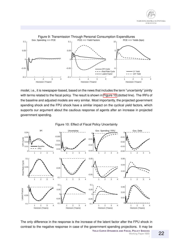



model, i.e., it is newspaper-based, based on the news that includes the term "uncertainty" jointly with terms related to the fiscal policy. The result is shown in [Figure 10](#page-21-0) (dotted line). The IRFs of the baseline and adjusted models are very similar. Most importantly, the projected government spending shock and the FPU shock have a similar impact on the cyclical yield factors, which supports our argument about the cautious response of agents after an increase in projected government spending.

<span id="page-21-0"></span>

The only difference in the response is the increase of the latent factor after the FPU shock in contrast to the negative response in case of the government spending projections. It may be

**YIELD CURVE DYNAMICS AND FISCAL POLICY SHOCKS** Working Paper NBS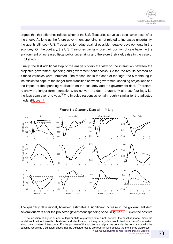argued that this difference reflects whether the U.S. Treasuries serve as a safe haven asset after the shock. As long as the future government spending is not related to increased uncertainty, the agents still seek U.S. Treasuries to hedge against possible negative developments in the economy. On the contrary, the U.S. Treasuries partially lose their position of safe haven in the environment of increased fiscal policy uncertainty and therefore their yields rise in the case of FPU shock.

Finally, the last additional step of the analysis offers the view on the interaction between the projected government spending and government debt shocks. So far, the results seemed as if these variables were unrelated. The reason lies in the span of the lags: the 5 month lag is insufficient to capture the longer-term transition between government spending projections and the impact of the spending realization on the economy and the government debt. Therefore, to show the longer-term interactions, we convert the data to quarterly and use four lags, i.e. the lags span over one year.<sup>[15](#page-22-0)</sup>The impulse responses remain roughly similar for the adjusted model [\(Figure 11\)](#page-22-1).



<span id="page-22-1"></span>

The quarterly data model, however, estimates a significant increase in the government debt several quarters after the projected government spending shock [\(Figure 12\)](#page-23-1). Given the positive

<span id="page-22-0"></span><sup>&</sup>lt;sup>15</sup>The inclusion of higher number of lags or shift to quarterly data is not useful for the baseline model, since the model would either loose its robustness and identification or the quarterly data would lead to a loss of information about the short-term interactions. For the purpose of this additional analysis, we consider the comparison with the baseline results as a sufficient check that the adjusted results are roughly valid despite the mentioned weakness.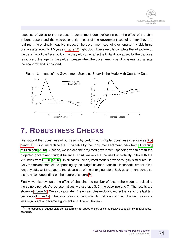

response of yields to the increase in government debt (reflecting both the effect of the shift in bond supply and the macroeconomic impact of the government spending after they are realized), the originally negative impact of the government spending on long-term yields turns positive after roughly 1.5 years [\(Figure 12,](#page-23-1) right plot). These results complete the full picture of the transition of the fiscal policy into the yield curve: after the initial drop caused by the cautious response of the agents, the yields increase when the government spending is realized, affects the economy and is financed.



<span id="page-23-1"></span>

### **7. ROBUSTNESS CHECKS**

We support the robustness of our results by performing multiple robustness checks (see [Ap](#page-36-0)[pendix III\)](#page-36-0). First, we replace the IPI variable by the consumer sentiment index from [University](#page-31-8) [of Michigan](#page-31-8) [\(2018\)](#page-31-8). Second, we replace the projected government spending variable with the projected government budget balance. Third, we replace the used uncertainty index with the VIX index from [CBOE](#page-29-11) [\(2018\)](#page-29-11). In all cases, the adjusted models provide roughly similar results. Only the replacement of the spending by the budget balance leads to a lesser adjustment in the longer yields, which supports the discussion of the changing role of U.S. government bonds as a safe haven depending on the nature of shocks.<sup>[16](#page-23-2)</sup>

Finally, we also evaluate the effect of changing the number of lags in the model or adjusting the sample period. As representatives, we use lags 3, 5 (the baseline) and 7. The results are shown in [Figure 16.](#page-38-0) We also calculate IRFs on samples excluding either the first or the last ten years (see [Figure 17\)](#page-39-0). The responses are roughly similar , although some of the responses are less significant or became significant at a different horizon.

<span id="page-23-2"></span><span id="page-23-0"></span><sup>&</sup>lt;sup>16</sup>The response of budget balance has correctly an opposite sign, since the positive budget imply relative lesser spending.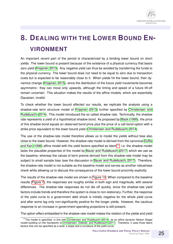

# **8. DEALING WITH THE LOWER BOUND EN-VIRONMENT**

An important recent part of the period is characterized by a binding lower bound on short yields. The lower bound is present because of the existence of a physical currency that bears zero yield [\(Krippner, 2013\)](#page-30-3). Any negative yield can thus be avoided by transferring the funds to the physical currency. The lower bound does not need to be equal to zero due to transaction costs but is expected to be reasonably close to it. When yields hit the lower bound, their dynamics change [\(Krippner, 2015\)](#page-30-10), since the distribution of the future yield movements becomes asymmetric: they can move only upwards, although the timing and speed of a future lift-off remain uncertain. This situation makes the results of the affine models, which are essentially Gaussian, invalid.

To check whether the lower bound affected our results, we replicate the analysis using a shadow-rate term structure model of [Krippner](#page-30-3) [\(2013\)](#page-30-3) further specified by [Christensen and](#page-29-5) [Rudebusch](#page-29-5) [\(2014\)](#page-29-5). This model introduced the so called shadow rate. Technically, the shadow rate represents a yield of a hypothetical shadow bond. As proposed by [Black](#page-28-14) [\(1995\)](#page-28-14), the price of this shadow bond equals an observed bond price *plus* the price of a call bond option with a strike price equivalent to the lower bound yield [\(Christensen and Rudebusch, 2014\)](#page-29-5).

The use of the shadow-rate model therefore allows us to model the yields without bias also close to the lower bound. However, the shadow-rate model is derived from the canonical [Duffie](#page-29-12) [and Kan](#page-29-12) [\(1996\)](#page-29-12) affine model with the yield factors specified as latent<sup>[17](#page-24-0)</sup>, i.e. the shadow model lacks the plausible properties of the model by [Bauer and Rudebusch](#page-28-1) [\(2017\)](#page-28-1) which we use as the baseline, whereas the values of term premia derived from this shadow-rate model may be subject to small sample bias (see the discussion in [Bauer and Rudebusch, 2017\)](#page-28-1). Therefore, the shadow-rate model is not suitable as the baseline model and serves as another robustness check while allowing us to discuss the consequence of the lower bound proximity explicitly.

The results of the shadow-rate model are shown in [Figure 13.](#page-26-0) When compared to the baseline results [\(Figure 7\)](#page-19-0), the responses are roughly similar in both sign and magnitude, with several differences. The shadow-rate responses do not die off quickly, since the shadow-rate yield factors include trends and therefore the system is close to non-stationary. Further, the response of the yield curve to a government debt shock is initially negative for the whole yield curve and after some lag only non-significantly positive for the longer yields. However, the cautious response to an increase in government spending projections is still present.

The option effect embedded in the shadow-rate model makes the relation of the yields and yield

<span id="page-24-0"></span> $17$ The model is specified, in line with [Christensen and Rudebusch](#page-29-5) [\(2014\)](#page-29-5), as an affine dynamic Nelson Siegel model building on the framework of [Christensen, Diebold, and Rudebusch](#page-29-13) [\(2011\)](#page-29-13). Therefore, it uses three latent factors that can be specified as a level, a slope and a curvature of the yield curve.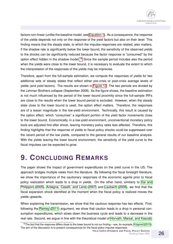

factors non-linear (unlike the baseline model, see [Equation 1\)](#page-8-0). As a consequence, the response of the yields depends not only on the *response* of the yield factors but also on their *level*. This finding means that the steady state, to which the impulse-responses are related, also matters. If the shadow rate is significantly below the lower bound, the sensitivity of the observed yields to the shocks can be significantly reduced because the factor response is "consumed" by the option effect hidden in the shadow model.<sup>[18](#page-25-1)</sup> Since the sample period includes also the period when the yields were close to the lower bound, it is necessary to evaluate the extent to which the interpretation of the responses of the yields may be imprecise.

Therefore, apart from the full-sample estimation, we compute the responses of yields for two additional sets of steady states that reflect either pre-crisis or post-crisis average levels of yields (and yield factors). The results are shown in [Figure 13.](#page-26-0) The two periods are divided by the Lehman Brothers collapse (September 2008). As the figure shows, the baseline estimation is not much influenced by the period of the lower bound proximity since the full-sample IRFs are close to the results when the lower bound period is excluded. However, when the steady state close to the lower bound is used, the option effect matters. Therefore, the responses are of a lesser magnitude in the low-yield environment. Technically, this result is caused by the option effect, which "consumes" a significant portion of the yield factor movements close to the lower bound. Economically, in a low-yield environment, unconventional monetary policy tools are adjusted first after shock, leaving monetary policy rates less affected. Therefore, this finding highlights that the response of yields to fiscal policy shocks could be suppressed over the recent period of the low yields, compared to the general results of our baseline analysis. With the yields leaving the lower bound environment, the sensitivity of the yield curve to the fiscal impulses can be expected to grow.

### <span id="page-25-0"></span>**9. CONCLUDING REMARKS**

The paper shows the impact of government expenditures on the yield curve in the US. The approach bridges multiple views from the literature. By following the fiscal foresight literature, we show the importance of the cautionary responses of the economic agents prior to fiscal policy realization which leads to a drop in yields. On the other hand, similarly to [Dai and](#page-29-1) [Philippon](#page-29-1) [\(2005\)](#page-29-1), [Ardagna, Caselli, and Lane](#page-28-3) [\(2007\)](#page-28-3) and [Laubach](#page-31-0) [\(2009\)](#page-31-0), we find that the fiscal expansion shock identified at the moment when the fiscal policy is realized moves the yields upwards.

When explaining the transmission, we show that the cautious response has two effects. First, following the [Ramey](#page-31-1) [\(2011\)](#page-31-1) argument, we show that caution leads to a drop in personal consumption expenditures, which slows down the business cycle and leads to a decrease in the real rate. Second, we argue in line with the theoretical model of [Horvath, Marsal, and Kaszab,](#page-30-13)

<span id="page-25-1"></span> $18$ The fact that the response differs close to the lower bound is not our finding – see, for example, [Krippner](#page-30-10) [\(2015\)](#page-30-10). The aim of the discussion is to present consequences for the fiscal policy impulse responses.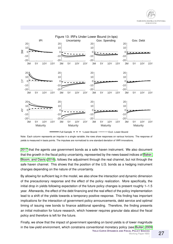<span id="page-26-0"></span>

Full Sample  $- -$  - Lower Bound ………… Excl. Lower Bound

Note: Each column represents an impulse in a single variable; the rows show responses on various horizons. The response of yields is measured in basis points. The impulses are normalized to one standard deviation of VAR innovations.

[2017](#page-30-13) that the agents use government bonds as a safe haven instrument. We also document that the growth in the fiscal policy uncertainty, represented by the news-based indices of [Baker,](#page-28-0) [Bloom, and Davis](#page-28-0) [\(2016\)](#page-28-0), follows the adjustment through the real channel, but not through the safe haven channel. This shows that the position of the U.S. bonds as a hedging instrument changes depending on the nature of the uncertainty.

By allowing for sufficient lag in the model, we also show the interaction and dynamic dimension of the precautionary response and the effect of the policy realization. More specifically, the initial drop in yields following expectation of the future policy changes is present roughly 1–1.5 year. Afterwards, the effect of the debt financing and the real effect of the policy implementation lead to a shift of the yields towards a temporary positive response. This finding has important implications for the interaction of government policy announcements, debt service and optimal timing of issuing new bonds to finance additional spending. Therefore, the finding presents an initial motivation for future research, which however requires granular data about the fiscal policy and therefore is left for the future.

Finally, we show that the impact of government spending on bond yields is of lower magnitude in the low-yield environment, which constrains conventional monetary policy (see [Buiter, 2009](#page-29-6)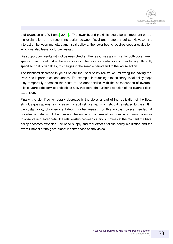

and [Swanson and Williams, 2014\)](#page-31-4). The lower bound proximity could be an important part of the explanation of the recent interaction between fiscal and monetary policy. However, the interaction between monetary and fiscal policy at the lower bound requires deeper evaluation, which we also leave for future research.

We support our results with robustness checks. The responses are similar for both government spending and fiscal budget balance shocks. The results are also robust to including differently specified control variables, to changes in the sample period and to the lag selection.

The identified decrease in yields before the fiscal policy realization, following the saving motives, has important consequences. For example, introducing expansionary fiscal policy steps may temporarily decrease the costs of the debt service, with the consequence of overoptimistic future debt service projections and, therefore, the further extension of the planned fiscal expansion.

Finally, the identified temporary decrease in the yields ahead of the realization of the fiscal stimulus goes against an increase in credit risk premia, which should be related to the shift in the sustainability of government debt. Further research on this topic is however needed. A possible next step would be to extend the analysis to a panel of countries, which would allow us to observe in greater detail the relationship between cautious motives at the moment the fiscal policy becomes expected, the bond supply and real effect after the policy realization and the overall impact of the government indebtedness on the yields.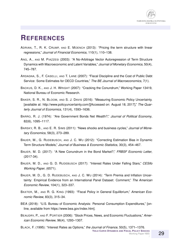### **REFERENCES**

- <span id="page-28-11"></span>ADRIAN, T., R. K. CRUMP, AND E. MOENCH (2013): "Pricing the term structure with linear regressions," *Journal of Financial Economics*, 110(1), 110–138.
- <span id="page-28-8"></span>ANG, A., AND M. PIAZZESI (2003): "A No-Arbitrage Vector Autoregression of Term Structure Dynamics with Macroeconomic and Latent Variables," *Journal of Monetary Economics*, 50(4), 745–787.
- <span id="page-28-3"></span>ARDAGNA, S., F. CASELLI, AND T. LANE (2007): "Fiscal Discipline and the Cost of Public Debt Service: Some Estimates for OECD Countries," *The BE Journal of Macroeconomics*, 7(1).
- <span id="page-28-9"></span>BACKUS, D. K., AND J. H. WRIGHT (2007): "Cracking the Conundrum," Working Paper 13419, National Bureau of Economic Research.
- <span id="page-28-0"></span>BAKER, S. R., N. BLOOM, AND S. J. DAVIS (2016): "Measuring Economic Policy Uncertainty. [available at: http://www.policyuncertainty.com/][Accessed on: August 18, 2017]," *The Quarterly Journal of Economics*, 131(4), 1593–1636.
- <span id="page-28-12"></span>BARRO, R. J. (1974): "Are Government Bonds Net Wealth?," *Journal of Political Economy*, 82(6), 1095–1117.
- <span id="page-28-5"></span>BARSKY, R. B., AND E. R. SIMS (2011): "News shocks and business cycles," *Journal of Monetary Economics*, 58(3), 273–289.
- <span id="page-28-7"></span>BAUER, M., G. RUDEBUSCH, AND J. C. WU (2012): "Correcting Estimation Bias in Dynamic Term Structure Models," *Journal of Business & Economic Statistics*, 30(3), 454–467.
- <span id="page-28-6"></span>BAUER, M. D. (2017): "A New Conundrum in the Bond Market?," *FRBSF Economic Letter*, (2017-34).
- <span id="page-28-1"></span>BAUER, M. D., AND G. D. RUDEBUSCH (2017): "Interest Rates Under Falling Stars," *CESifo Working Paper*, (6571).
- <span id="page-28-10"></span>BAUER, M. D., G. D. RUDEBUSCH, AND J. C. WU (2014): "Term Premia and Inflation Uncertainty: Empirical Evidence from an International Panel Dataset: Comment," *The American Economic Review*, 104(1), 323–337.
- <span id="page-28-2"></span>BAXTER, M., AND R. G. KING (1993): "Fiscal Policy in General Equilibrium," *American Economic Review*, 83(3), 315–34.
- <span id="page-28-13"></span>BEA (2018): "U.S. Bureau of Economic Analysis: Personal Consumption Expenditures," [online, available from https://www.bea.gov/index.htm].
- <span id="page-28-4"></span>BEAUDRY, P., AND F. PORTIER (2006): "Stock Prices, News, and Economic Fluctuations," *American Economic Review*, 96(4), 1293–1307.
- <span id="page-28-14"></span>BLACK, F. (1995): "Interest Rates as Options," *the Journal of Finance*, 50(5), 1371–1376. **YIELD CURVE DYNAMICS AND FISCAL POLICY SHOCKS**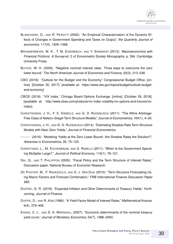- <span id="page-29-8"></span>BLANCHARD, O., AND R. PEROTTI (2002): "An Empirical Characterization of the Dynamic Effects of Changes in Government Spending and Taxes on Output," *the Quarterly Journal of economics*, 117(4), 1329–1368.
- <span id="page-29-3"></span>BRUNNERMEIER, M. K., T. M. EISENBACH, AND Y. SANNIKOV (2013): *Macroeconomics with Financial Frictions: A Survey*vol. 2 of *Econometric Society Monographs*, p. 394. Cambridge University Press.
- <span id="page-29-6"></span>BUITER, W. H. (2009): "Negative nominal interest rates: Three ways to overcome the zero lower bound," *The North American Journal of Economics and Finance*, 20(3), 213–238.
- <span id="page-29-10"></span>CBO (2018): "Outlook for the Budget and the Economy," Congressional Budget Office. [online], [October 30, 2017]. [available at: https://www.cbo.gov/topics/budget/outlook-budgetand-economy].
- <span id="page-29-11"></span>CBOE (2018): "VIX Index," Chicago Board Options Exchange. [online], [October 29, 2018]. [available at: http://www.cboe.com/products/vix-index-volatility/vix-options-and-futures/vixindex].
- <span id="page-29-13"></span>CHRISTENSEN, J. H., F. X. DIEBOLD, AND G. D. RUDEBUSCH (2011): "The Affine Arbitrage-Free Class of Nelson–Siegel Term Structure Models," *Journal of Econometrics*, 164(1), 4–20.
- <span id="page-29-5"></span>CHRISTENSEN, J. H., AND G. D. RUDEBUSCH (2014): "Estimating Shadow-Rate Term Structure Models with Near-Zero Yields," *Journal of Financial Econometrics*.
- <span id="page-29-9"></span>(2016): "Modeling Yields at the Zero Lower Bound: Are Shadow Rates the Solution?," *Advances in Econometrics*, 35, 75–125.
- <span id="page-29-2"></span>CHRISTIANO, L., M. EICHENBAUM, AND S. REBELO (2011): "When Is the Government Spending Multiplier Large?," *Journal of Political Economy*, 119(1), 78–121.
- <span id="page-29-1"></span>DAI, Q., AND T. PHILIPPON (2005): "Fiscal Policy and the Term Structure of Interest Rates." Discussion paper, National Bureau of Economic Research.
- <span id="page-29-7"></span>DE POOTER, M., F. RAVAZZOLO, AND D. J. VAN DIJK (2010): "Term Structure Forecasting Using Macro Factors and Forecast Combination," *FRB International Finance Discussion Paper 993*.
- <span id="page-29-4"></span>DUFFEE, G. R. (2018): "Expected Inflation and Other Determinants of Treasury Yields," *Forthcoming, Journal of Finance*.
- <span id="page-29-12"></span>DUFFIE, D., AND R. KAN (1996): "A Yield-Factor Model of Interest Rates," *Mathematical finance*, 6(4), 379–406.
- <span id="page-29-0"></span>EVANS, C. L., AND D. A. MARSHALL (2007): "Economic determinants of the nominal treasury yield curve," *Journal of Monetary Economics*, 54(7), 1986–2003.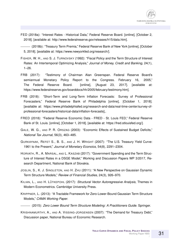<span id="page-30-5"></span>FED (2018a): "Interest Rates - Historical Data," Federal Reserve Board. [online], [October 2, 2018]. [available at: http://www.federalreserve.gov/releases/h15/data.htm].

<span id="page-30-11"></span>(2018b): "Treasury Term Premia," Federal Reserve Bank of New York [online], [October 5, 2018]. [available at: https://www.newyorkfed.org/research/].

- <span id="page-30-1"></span>FISHER, W. H., AND S. J. TURNOVSKY (1992): "Fiscal Policy and the Term Structure of Interest Rates: An Intertemporal Optimizing Analysis," *Journal of Money, Credit and Banking*, 24(1), 1–26.
- <span id="page-30-4"></span>FRB (2017): "Testimony of Chairman Alan Greenspan. Federal Reserve Board's semiannual Monetary Policy Report to the Congress. February 16, 2005," The Federal Reserve Board. [online], [August 23, 2017]. [available at: https://www.federalreserve.gov/boarddocs/hh/2005/february/testimony.htm].
- <span id="page-30-6"></span>FRB (2018): "Short-Term and Long-Term Inflation Forecasts: Survey of Professional Forecasters," Federal Reserve Bank of Philadelphia [online], [October 1, 2018]. [available at: https://www.philadelphiafed.org/research-and-data/real-time-center/survey-ofprofessional-forecasters/historical-data/inflation-forecasts],.
- <span id="page-30-12"></span>FRED (2018): "Federal Reserve Economic Data - FRED - St. Louis FED," Federal Reserve Bank of St. Louis. [online], [October 1, 2018]. [available at: https://fred.stlouisfed.org/].
- <span id="page-30-0"></span>GALE, W. G., AND P. R. ORSZAG (2003): "Economic Effects of Sustained Budget Deficits," *National Tax Journal*, 56(3), 463–485.
- <span id="page-30-9"></span>GURKAYNAK, REFET S., B. S., AND J. H. WRIGHT (2007): "The U.S. Treasury Yield Curve: 1961 to the Present," *Journal of Monetary Econoics*, 54(8), 2291–2304.
- <span id="page-30-13"></span>HORVATH, R., A. MARSAL, AND L. KASZAB (2017): "Government Spending and the Term Structure of Interest Rates in a DSGE Model," Working and Discussion Papers WP 3/2017, Research Department, National Bank of Slovakia.
- <span id="page-30-7"></span>JOSLIN, S., K. J. SINGLETON, AND H. ZHU (2011): "A New Perspective on Gaussian Dynamic Term Structure Models," *Review of Financial Studies*, 24(3), 926–970.
- <span id="page-30-8"></span>KILIAN, L., AND H. LÜTKEPOHL (2017): *Structural Vector Autoregressive Analysis*, Themes in Modern Econometrics. Cambridge University Press.
- <span id="page-30-3"></span>KRIPPNER, L. (2013): "A Tractable Framework for Zero-Lower-Bound Gaussian Term Structure Models," *CAMA Working Paper*.
- <span id="page-30-10"></span>(2015): *Zero Lower Bound Term Structure Modeling: A Practitioners Guide*. Springer.
- <span id="page-30-2"></span>KRISHNAMURTHY, A., AND A. VISSING-JORGENSEN (2007): "The Demand for Treasury Debt," Discussion paper, National Bureau of Economic Research.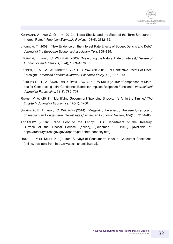- <span id="page-31-2"></span>KURMANN, A., AND C. OTROK (2013): "News Shocks and the Slope of the Term Structure of Interest Rates," *American Economic Review*, 103(6), 2612–32.
- <span id="page-31-0"></span>LAUBACH, T. (2009): "New Evidence on the Interest Rate Effects of Budget Deficits and Debt," *Journal of the European Economic Association*, 7(4), 858–885.
- <span id="page-31-5"></span>LAUBACH, T., AND J. C. WILLIAMS (2003): "Measuring the Natural Rate of Interest," *Review of Economics and Statistics*, 85(4), 1063–1070.
- <span id="page-31-3"></span>LEEPER, E. M., A. W. RICHTER, AND T. B. WALKER (2012): "Quantitative Effects of Fiscal Foresight," *American Economic Journal: Economic Policy*, 4(2), 115–144.
- <span id="page-31-6"></span>LÜTKEPOHL, H., A. STASZEWSKA-BYSTROVA, AND P. WINKER (2015): "Comparison of Methods for Constructing Joint Confidence Bands for Impulse Response Functions," *International Journal of Forecasting*, 31(3), 782–798.
- <span id="page-31-1"></span>RAMEY, V. A. (2011): "Identifying Government Spending Shocks: It's All in the Timing," *The Quarterly Journal of Economics*, 126(1), 1–50.
- <span id="page-31-4"></span>SWANSON, E. T., AND J. C. WILLIAMS (2014): "Measuring the effect of the zero lower bound on medium-and longer-term interest rates," *American Economic Review*, 104(10), 3154–85.
- <span id="page-31-7"></span>TREASURY (2018): "The Debt to the Penny," U.S. Department of the Treasury, Burreau of the Fiscsal Service. [online], [Decemer 12, 2018]. [available at: https://treasurydirect.gov/govt/reports/pd\_debttothepenny.htm].
- <span id="page-31-8"></span>UNIVERSITY OF MICHIGAN (2018): "Surveys of Consumers: Index of Consumer Sentiment," [online, available from http://www.sca.isr.umich.edu/].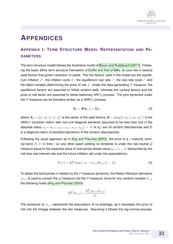

### **APPENDICES**

#### **APPENDIX I: TERM STRUCTURE MODEL REPRESENTATION AND PA-RAMETERS**

The term structure model follows the illustrative model of [Bauer and Rudebusch](#page-28-1) [\(2017\)](#page-28-1). Following the basic affine term structure framework of [Duffie and Kan](#page-29-12) [\(1996\)](#page-29-12), its core lies in several yield factors that govern evolution of yields. The five factors used in the model are the equilibrium inflation  $\pi^*$ , the inflation cycle  $\pi^c$ , the equilibrium real rate  $r^*$ , the real rate cycle  $r^c$  and the latent variable determining the price of risk f. Under the data-generating  $P$  measure, the equilibrium factors are assumed to follow random walk, whereas the cyclical factors and the price of risk factor are assumed to follow stationary AR(1) process. The joint dynamics under the  $P$ -measure can be therefore written as a VAR(1) process:

$$
\mathbf{X}_{\mathbf{t}} = \mathbf{\Phi} \mathbf{X}_{\mathbf{t} - \mathbf{1}} + \mathbf{\Sigma} \epsilon_{\mathbf{t}} \tag{3}
$$

where  ${\bf X_t}=[\pi^*_t,\pi^c_t,r^*_t,r^c_t,f_t]^\prime$  is the vector of the yield factors,  ${\bf \Phi}=diag([1,\phi_\pi,1,\phi_r,\phi_f]^\prime)$  is the VAR(1) transition matrix with non-unit diagonal elements assumed to be less than one in the absolute value,  $\epsilon_{\bf t}=[\epsilon_{t,\pi^*},\epsilon_{t,\pi^c},\epsilon_{t,r^*},\epsilon_{t,r^c},\epsilon_{t,f}]'\sim N\left({\bf 0},{\bf I_5}\right)$  are *iid* random disturbances and  ${\bf \Sigma}$ is a diagonal matrix of standard deviations of the random disturbances.

Following the usual approach as in [Ang and Piazzesi](#page-28-8) [\(2003\)](#page-28-8), the price of a  $\tau$ -maturity nominal bond  $P_t(\tau)$  in time t (or any other asset yielding no dividend) is under the risk-neutral Q measure equal to the expected value of one-period-ahead value  $p_{t+1}$  ( $\tau - 1$ ) discounted by the risk-free real interest rate and the future inflation (all under the expectations):

$$
P_t(\tau) = E_t^{\mathcal{Q}} \left[ \exp\left( -r_t - \pi_{t+1} \right) P_{t+1}(\tau - 1) \right] \tag{4}
$$

To obtain the bond prices in relation to the  $P$ -measure dynamics, the Radon-Nikodym derivative  $\psi_{t+1}$  is used to convert the Q-measure into the P-measure, since for any random variable  $V_{t+1}$ the following holds [\(Ang and Piazzesi, 2003\)](#page-28-8):

<span id="page-32-0"></span>
$$
E_t^{\mathcal{Q}}[V_{t+1}] = \frac{E_t^{\mathcal{P}}[\psi_{t+1}V_{t+1}]}{\psi_t}
$$

The existence of  $\psi_{t+1}$  represents the assumption of no-arbitrage, as it translates the price of risk into the linkage between the two measures. Assuming it follows the log-normal process,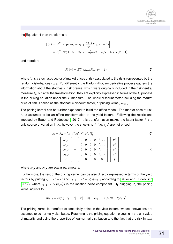<span id="page-33-1"></span>

the [Equation 4](#page-32-0) then transforms to:

$$
P_t(\tau) = E_t^{\mathcal{P}} \left[ \exp(-r_t - \pi_{t+1}) \frac{\psi_{t+1}}{\psi_t} P_{t+1}(\tau - 1) \right]
$$
  
=  $E_t^{\mathcal{P}} \left[ \exp(-r_t - \pi_{t+1} - \lambda_t' \lambda_t / 2 - \lambda_t' \epsilon_{t+1}) P_{t+1}(\tau - 1) \right]$ 

and therefore:

$$
P_t(\tau) = E_t^{\mathcal{P}} \left[ m_{t+1} P_{t+1}(\tau - 1) \right]
$$
 (5)

where  $\lambda_t$  is a stochastic vector of market prices of risk associated to the risks represented by the random disturbances  $\epsilon_{t+1}$ . Put differently, the Radon-Nikodym derivative process gathers the information about the stochastic risk premia, which were originally included in the risk-neutral measure  $Q$ , but after the transformation, they are explicitly expressed in terms of the  $\lambda_t$  process in the pricing equation under the  $P$ -measure. The whole discount factor including the market price of risk is called as the stochastic discount factor, or pricing kernel,  $m_{t+1}$ .

The pricing kernel can be further expanded to build the affine model. The market price of risk  $\lambda_t$  is assumed to be an affine transformation of the yield factors. Following the restrictions imposed by [Bauer and Rudebusch](#page-28-1) [\(2017\)](#page-28-1), this transformation makes the latent factor  $f_t$  the only source of variation in  $\lambda_t$ , however the shocks to  $f_t$  (i.e.  $\epsilon_{f,t}$ ) are not priced:

<span id="page-33-0"></span>
$$
\lambda_{\mathbf{t}} = \lambda_{\mathbf{0}} + \lambda_{\mathbf{1}} [\pi^*, \pi^c, r^*, r^c, f]_{t}^{\prime}
$$
\n
$$
= \begin{bmatrix}\n\lambda_{0,\pi^*} \\
\lambda_{0,\pi^c} \\
\lambda_{0,r^*} \\
\lambda_{0,r^*} \\
0\n\end{bmatrix} + \begin{bmatrix}\n0 & 0 & 0 & 0 & \lambda_{1,\pi^*} \\
0 & 0 & 0 & 0 & \lambda_{1,\pi^c} \\
0 & 0 & 0 & 0 & \lambda_{1,r^*} \\
0 & 0 & 0 & 0 & \lambda_{1,r^*} \\
0 & 0 & 0 & 0 & 0 & \lambda_{1,r^c} \\
0 & 0 & 0 & 0 & 0 & 0\n\end{bmatrix} \begin{bmatrix}\n\pi^* \\
\pi^c \\
r^* \\
r^c \\
f\n\end{bmatrix}_{t}
$$
\n(7)

where  $\lambda_{0,\bullet}$  and  $\lambda_{1,\bullet}$  are scalar parameters.

Furthermore, the rest of the pricing kernel can be also directly expressed in terms of the yield factors by putting  $r_t = r_t^* + r_t^c$  and  $\pi_{t+1} = \pi_t^* + \pi_t^c + e_{t+1}$  according to [Bauer and Rudebusch](#page-28-1) [\(2017\)](#page-28-1), where  $e_{t+1} \sim N(0, \sigma_e^2)$  is the inflation noise component. By plugging in, the pricing kernel adjusts to:

$$
m_{t+1} = \exp(-r_t^* - r_t^c - \pi_t^* - \pi_t^c - e_{t+1} - \lambda_t^{\prime}\lambda_t/2 - \lambda_t^{\prime}\epsilon_{t+1})
$$

The pricing kernel is therefore exponentially affine in the yield factors, whose innovations are assumed to be normally distributed. Returning to the pricing equation, plugging in the unit value at maturity and using the properties of log-normal distribution and the fact that the risk in  $e_{t+1}$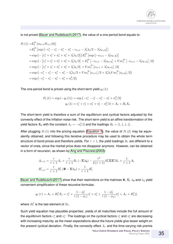is not priced [\(Bauer and Rudebusch, 2017\)](#page-28-1), the value of a one-period bond equals to:

$$
P_t(1) = E_t^{\mathcal{P}} [m_{t+1} P_{t+1}(0)]
$$
  
\n
$$
= E_t^{\mathcal{P}} [\exp(-r_t^* - r_t^c - \pi_t^* - \pi_t^c - e_{t+1} - \lambda_t^{\prime} \lambda_t / 2 - \lambda_t^{\prime} \epsilon_{t+1})]
$$
  
\n
$$
= \exp(-[r_t^* + r_t^c + \pi_t^* + \pi_t^c + \lambda_t^{\prime} \lambda_t / 2]) E_t^{\mathcal{P}} [\exp(-e_{t+1} - \lambda_t^{\prime} \epsilon_{t+1})]
$$
  
\n
$$
= \exp(-[r_t^* + r_t^c + \pi_t^* + \pi_t^c + \lambda_t^{\prime} \lambda_t / 2] + E_t^{\mathcal{P}} [-e_{t+1} - \lambda_t^{\prime} \epsilon_{t+1}] + Var_t^{\mathcal{P}} [-e_{t+1} - \lambda_t^{\prime} \epsilon_{t+1}]/2)
$$
  
\n
$$
= \exp(-[r_t^* + r_t^c + \pi_t^* + \pi_t^c + \lambda_t^{\prime} \lambda_t / 2] + Var_t^{\mathcal{P}} [e_{t+1} + \lambda_t^{\prime} \epsilon_{t+1}]/2)
$$
  
\n
$$
= \exp(-r_t^* - r_t^c - \pi_t^* - \pi_t^c - \lambda_t^{\prime} \lambda_t / 2 + Var_t^{\mathcal{P}} [e_{t+1}]/2 + \lambda_t^{\prime} \lambda_t Var_t^{\mathcal{P}} [\epsilon_{t+1}]/2)
$$
  
\n
$$
= \exp(-r_t^* - r_t^c - \pi_t^* - \pi_t^c + \sigma_e^2 / 2)
$$

The one-period bond is priced using the short-term yield  $y_t(1)$ :

$$
P_t(1) = \exp(-y_t(1)) = \exp(-r_t^* - r_t^c - \pi_t^* - \pi_t^c + \sigma_e^2/2)
$$

$$
y_t(1) = r_t^* + r_t^c + \pi_t^* + \pi_t^c - \sigma_e^2/2 = A_1 + B_1X_t
$$

The short-term yield is therefore a sum of the equilibrium and cyclical factors adjusted by the convexity effect of the inflation noise risk. The short-term yield is an affine transformation of the yield factors  $\mathbf{X}_{\mathbf{t}}$  with the constant  $A_1=-\sigma_e^2/2$  and the loadings  $B_1=[1,1,1,1].$ 

After plugging  $P_t(1)$  into the pricing equation [\(Equation 5\)](#page-33-1), the value of  $P_t(2)$  may be equivalently obtained, and following this iterative procedure may be used to obtain the whole term structure of bond prices and therefore yields. For  $\tau > 1$ , the yield loadings  $B_{\tau}$  are different to a vector of ones, since the market price does not disappear anymore. However, can be obtained in a form of recursion, as shown by [Ang and Piazzesi](#page-28-8) [\(2003\)](#page-28-8):

$$
A_{\tau+1} = \frac{\tau}{\tau+1} A_{\tau} + \frac{\tau}{\tau+1} B_{\tau} (-\Sigma \lambda_0) - \frac{\tau^2}{2(\tau+1)} B_{\tau}' \Sigma \Sigma' B_{\tau} + \frac{1}{\tau+1} A_1
$$
  

$$
B_{\tau+1}' = \frac{\tau}{\tau+1} B_{\tau}' (\Phi - \Sigma \lambda_1) + \frac{1}{\tau+1} B_1'
$$

[Bauer and Rudebusch](#page-28-1) [\(2017\)](#page-28-1) show that their restrictions on the matrices  $\Phi$ ,  $\Sigma$ ,  $\lambda_0$  and  $\lambda_1$  yield convenient simplification of these recursive formulas:

$$
y_{t}\left(\tau\right)=A_{\tau}+B_{\tau}^{f}X_{t}=r_{t}^{*}+\frac{1-\phi_{r}^{\tau}}{\tau\left(1-\phi_{r}\right)}r_{t}^{c}+\pi_{t}^{*}+\frac{1-\phi_{\pi}^{\tau}}{\tau\left(1-\phi_{\pi}\right)}\pi_{t}^{c}+A_{\tau}+B_{\tau}^{f}f_{t}
$$

where  $B_{\tau}^f$  is the last element of  $B_{\tau}.$ 

Such yield equation has plausible properties: yields of all maturities include the full amount of the equilibrium factors  $r_t^*$  and  $\pi_t^*.$  The loadings on the cyclical factors  $r_t^c$  and  $\pi_t^c$  are decreasing with increasing maturity, as the mean expectations about the future yields give lesser weight on the present cyclical deviation. Finally, the convexity effect  $A<sub>\tau</sub>$  and the time-varying risk premia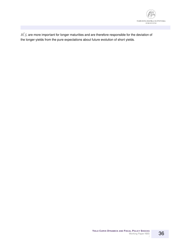

 $B_\tau^f f_t$  are more important for longer maturities and are therefore responsible for the deviation of the longer-yields from the pure expectations about future evolution of short yields.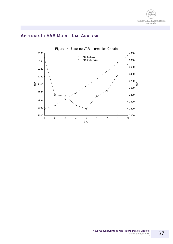

#### **APPENDIX II: VAR MODEL LAG ANALYSIS**

<span id="page-36-0"></span>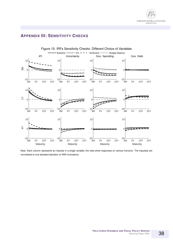

#### **APPENDIX III: SENSITIVITY CHECKS**



Note: Each column represents an impulse in a single variable; the rows show responses on various horizons. The impulses are normalized to one standard deviation of VAR innovations.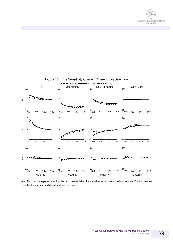

<span id="page-38-0"></span>

Note: Each column represents an impulse in a single variable; the rows show responses on various horizons. The impulses are

normalized to one standard deviation of VAR innovations.

39